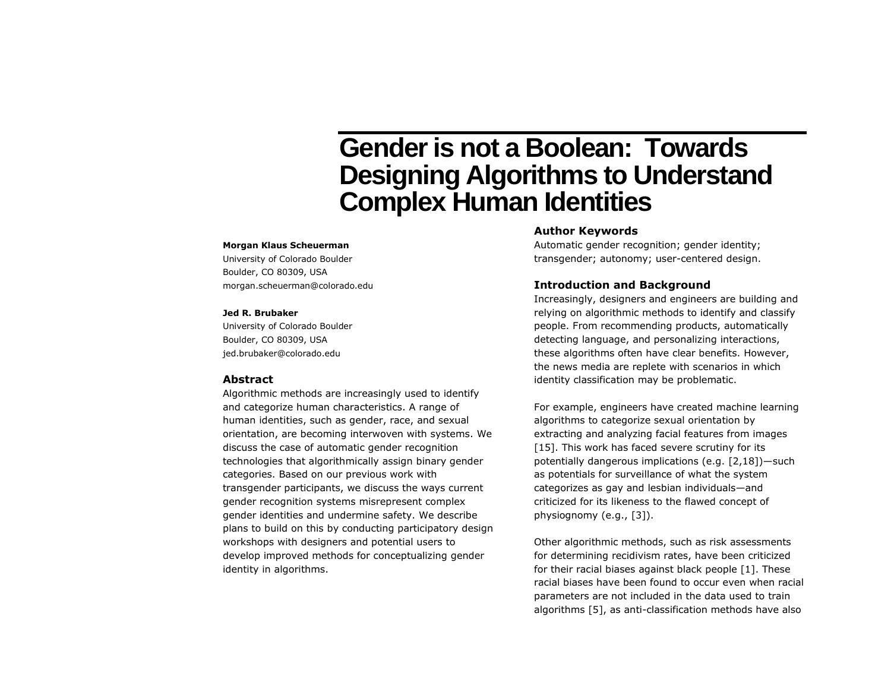# **Gender is not a Boolean: Towards Designing Algorithms to Understand Complex Human Identities**

#### **Morgan Klaus Scheuerman**

University of Colorado Boulder Boulder, CO 80309, USA morgan.scheuerman@colorado.edu

#### **Jed R. Brubaker**

University of Colorado Boulder Boulder, CO 80309, USA jed.brubaker@colorado.edu

### **Abstract**

Algorithmic methods are increasingly used to identify and categorize human characteristics. A range of human identities, such as gender, race, and sexual orientation, are becoming interwoven with systems. We discuss the case of automatic gender recognition technologies that algorithmically assign binary gender categories. Based on our previous work with transgender participants, we discuss the ways current gender recognition systems misrepresent complex gender identities and undermine safety. We describe plans to build on this by conducting participatory design workshops with designers and potential users to develop improved methods for conceptualizing gender identity in algorithms.

# **Author Keywords**

Automatic gender recognition; gender identity; transgender; autonomy; user-centered design.

## **Introduction and Background**

Increasingly, designers and engineers are building and relying on algorithmic methods to identify and classify people. From recommending products, automatically detecting language, and personalizing interactions, these algorithms often have clear benefits. However, the news media are replete with scenarios in which identity classification may be problematic.

For example, engineers have created machine learning algorithms to categorize sexual orientation by extracting and analyzing facial features from images [15]. This work has faced severe scrutiny for its potentially dangerous implications (e.g. [2,18])—such as potentials for surveillance of what the system categorizes as gay and lesbian individuals—and criticized for its likeness to the flawed concept of physiognomy (e.g., [3]).

Other algorithmic methods, such as risk assessments for determining recidivism rates, have been criticized for their racial biases against black people [1]. These racial biases have been found to occur even when racial parameters are not included in the data used to train algorithms [5], as anti-classification methods have also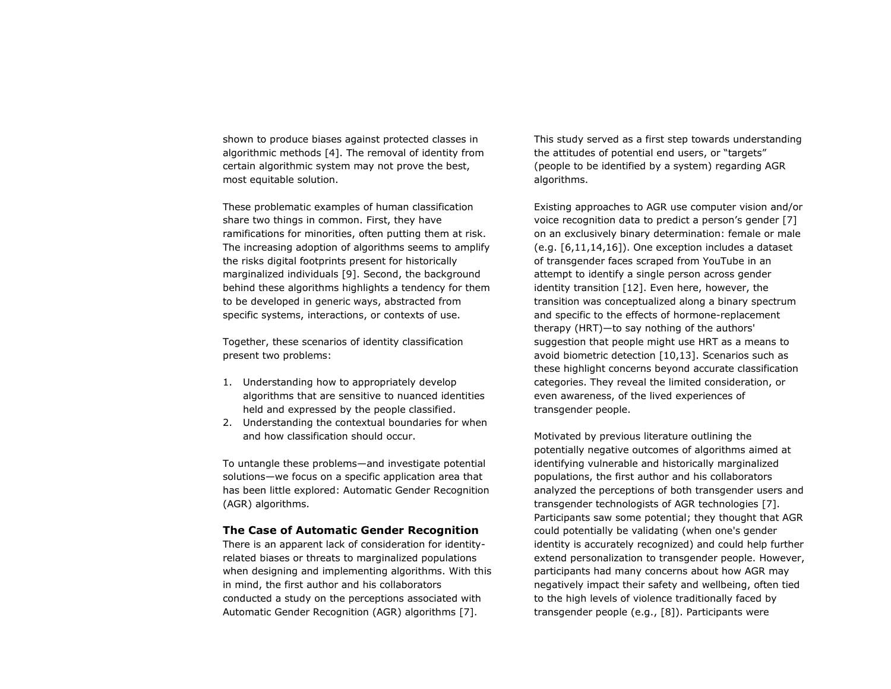shown to produce biases against protected classes in algorithmic methods [4]. The removal of identity from certain algorithmic system may not prove the best, most equitable solution.

These problematic examples of human classification share two things in common. First, they have ramifications for minorities, often putting them at risk. The increasing adoption of algorithms seems to amplify the risks digital footprints present for historically marginalized individuals [9]. Second, the background behind these algorithms highlights a tendency for them to be developed in generic ways, abstracted from specific systems, interactions, or contexts of use.

Together, these scenarios of identity classification present two problems:

- 1. Understanding how to appropriately develop algorithms that are sensitive to nuanced identities held and expressed by the people classified.
- 2. Understanding the contextual boundaries for when and how classification should occur.

To untangle these problems—and investigate potential solutions—we focus on a specific application area that has been little explored: Automatic Gender Recognition (AGR) algorithms.

## **The Case of Automatic Gender Recognition**

There is an apparent lack of consideration for identityrelated biases or threats to marginalized populations when designing and implementing algorithms. With this in mind, the first author and his collaborators conducted a study on the perceptions associated with Automatic Gender Recognition (AGR) algorithms [7].

This study served as a first step towards understanding the attitudes of potential end users, or "targets" (people to be identified by a system) regarding AGR algorithms.

Existing approaches to AGR use computer vision and/or voice recognition data to predict a person's gender [7] on an exclusively binary determination: female or male (e.g. [6,11,14,16]). One exception includes a dataset of transgender faces scraped from YouTube in an attempt to identify a single person across gender identity transition [12]. Even here, however, the transition was conceptualized along a binary spectrum and specific to the effects of hormone-replacement therapy (HRT)—to say nothing of the authors' suggestion that people might use HRT as a means to avoid biometric detection [10,13]. Scenarios such as these highlight concerns beyond accurate classification categories. They reveal the limited consideration, or even awareness, of the lived experiences of transgender people.

Motivated by previous literature outlining the potentially negative outcomes of algorithms aimed at identifying vulnerable and historically marginalized populations, the first author and his collaborators analyzed the perceptions of both transgender users and transgender technologists of AGR technologies [7]. Participants saw some potential; they thought that AGR could potentially be validating (when one's gender identity is accurately recognized) and could help further extend personalization to transgender people. However, participants had many concerns about how AGR may negatively impact their safety and wellbeing, often tied to the high levels of violence traditionally faced by transgender people (e.g., [8]). Participants were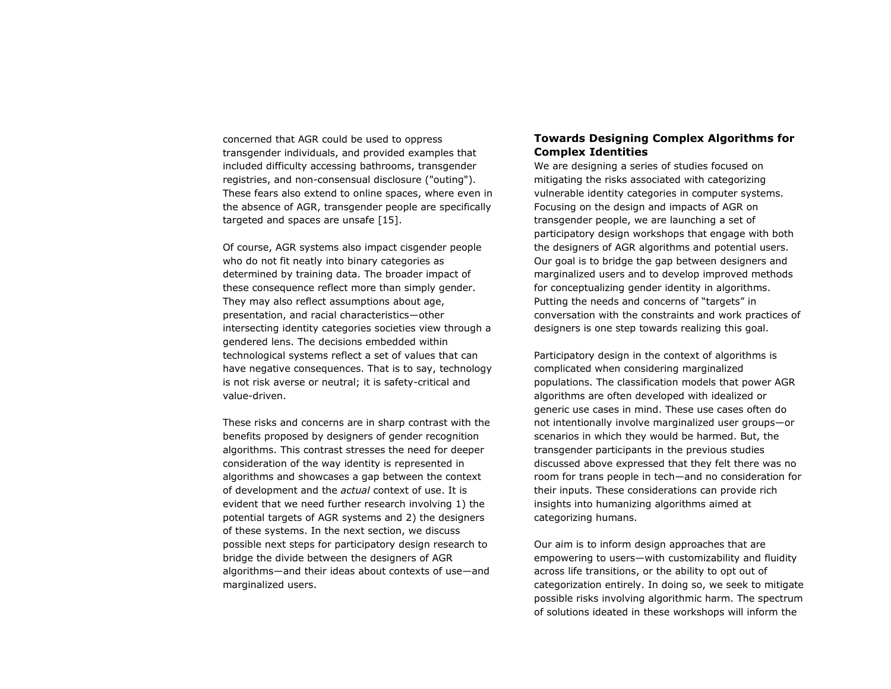concerned that AGR could be used to oppress transgender individuals, and provided examples that included difficulty accessing bathrooms, transgender registries, and non-consensual disclosure ("outing"). These fears also extend to online spaces, where even in the absence of AGR, transgender people are specifically targeted and spaces are unsafe [15].

Of course, AGR systems also impact cisgender people who do not fit neatly into binary categories as determined by training data. The broader impact of these consequence reflect more than simply gender. They may also reflect assumptions about age, presentation, and racial characteristics—other intersecting identity categories societies view through a gendered lens. The decisions embedded within technological systems reflect a set of values that can have negative consequences. That is to say, technology is not risk averse or neutral; it is safety-critical and value-driven.

These risks and concerns are in sharp contrast with the benefits proposed by designers of gender recognition algorithms. This contrast stresses the need for deeper consideration of the way identity is represented in algorithms and showcases a gap between the context of development and the *actual* context of use. It is evident that we need further research involving 1) the potential targets of AGR systems and 2) the designers of these systems. In the next section, we discuss possible next steps for participatory design research to bridge the divide between the designers of AGR algorithms—and their ideas about contexts of use—and marginalized users.

# **Towards Designing Complex Algorithms for Complex Identities**

We are designing a series of studies focused on mitigating the risks associated with categorizing vulnerable identity categories in computer systems. Focusing on the design and impacts of AGR on transgender people, we are launching a set of participatory design workshops that engage with both the designers of AGR algorithms and potential users. Our goal is to bridge the gap between designers and marginalized users and to develop improved methods for conceptualizing gender identity in algorithms. Putting the needs and concerns of "targets" in conversation with the constraints and work practices of designers is one step towards realizing this goal.

Participatory design in the context of algorithms is complicated when considering marginalized populations. The classification models that power AGR algorithms are often developed with idealized or generic use cases in mind. These use cases often do not intentionally involve marginalized user groups—or scenarios in which they would be harmed. But, the transgender participants in the previous studies discussed above expressed that they felt there was no room for trans people in tech—and no consideration for their inputs. These considerations can provide rich insights into humanizing algorithms aimed at categorizing humans.

Our aim is to inform design approaches that are empowering to users—with customizability and fluidity across life transitions, or the ability to opt out of categorization entirely. In doing so, we seek to mitigate possible risks involving algorithmic harm. The spectrum of solutions ideated in these workshops will inform the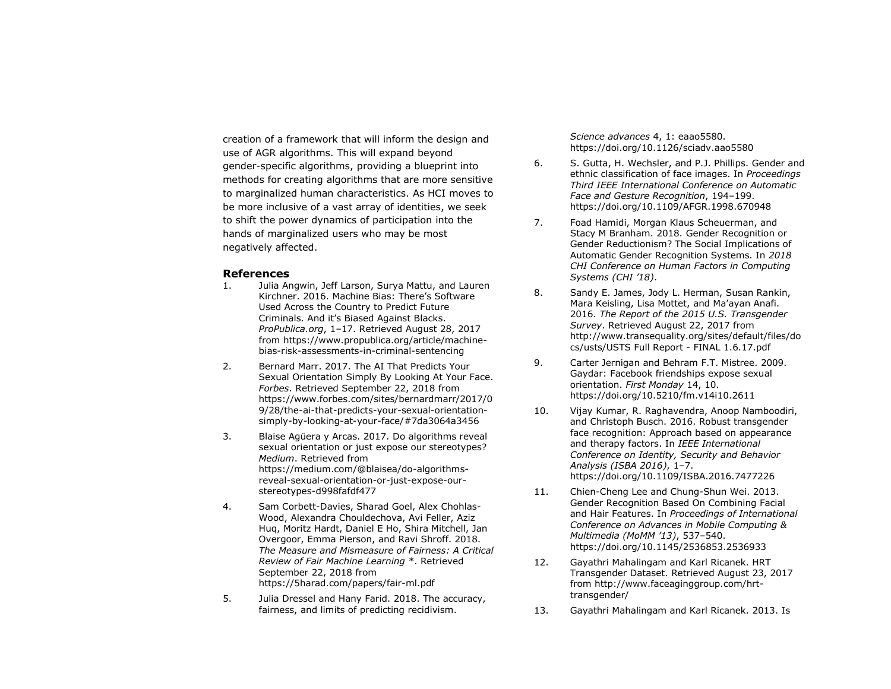creation of a framework that will inform the design and use of AGR algorithms. This will expand beyond gender-specific algorithms, providing a blueprint into methods for creating algorithms that are more sensitive to marginalized human characteristics. As HCI moves to be more inclusive of a vast array of identities, we seek to shift the power dynamics of participation into the hands of marginalized users who may be most negatively affected.

### **References**

- 1. Julia Angwin, Jeff Larson, Surya Mattu, and Lauren Kirchner. 2016. Machine Bias: There's Software Used Across the Country to Predict Future Criminals. And it's Biased Against Blacks. *ProPublica.org*, 1–17. Retrieved August 28, 2017 from https://www.propublica.org/article/machinebias-risk-assessments-in-criminal-sentencing
- 2. Bernard Marr. 2017. The AI That Predicts Your Sexual Orientation Simply By Looking At Your Face. *Forbes*. Retrieved September 22, 2018 from https://www.forbes.com/sites/bernardmarr/2017/0 9/28/the-ai-that-predicts-your-sexual-orientationsimply-by-looking-at-your-face/#7da3064a3456
- 3. Blaise Agüera y Arcas. 2017. Do algorithms reveal sexual orientation or just expose our stereotypes? *Medium*. Retrieved from https://medium.com/@blaisea/do-algorithmsreveal-sexual-orientation-or-just-expose-ourstereotypes-d998fafdf477
- 4. Sam Corbett-Davies, Sharad Goel, Alex Chohlas-Wood, Alexandra Chouldechova, Avi Feller, Aziz Huq, Moritz Hardt, Daniel E Ho, Shira Mitchell, Jan Overgoor, Emma Pierson, and Ravi Shroff. 2018. *The Measure and Mismeasure of Fairness: A Critical Review of Fair Machine Learning \**. Retrieved September 22, 2018 from https://5harad.com/papers/fair-ml.pdf
- 5. Julia Dressel and Hany Farid. 2018. The accuracy, fairness, and limits of predicting recidivism.

*Science advances* 4, 1: eaao5580. https://doi.org/10.1126/sciadv.aao5580

- 6. S. Gutta, H. Wechsler, and P.J. Phillips. Gender and ethnic classification of face images. In *Proceedings Third IEEE International Conference on Automatic Face and Gesture Recognition*, 194–199. https://doi.org/10.1109/AFGR.1998.670948
- 7. Foad Hamidi, Morgan Klaus Scheuerman, and Stacy M Branham. 2018. Gender Recognition or Gender Reductionism? The Social Implications of Automatic Gender Recognition Systems. In *2018 CHI Conference on Human Factors in Computing Systems (CHI '18)*.
- 8. Sandy E. James, Jody L. Herman, Susan Rankin, Mara Keisling, Lisa Mottet, and Ma'ayan Anafi. 2016. *The Report of the 2015 U.S. Transgender Survey*. Retrieved August 22, 2017 from http://www.transequality.org/sites/default/files/do cs/usts/USTS Full Report - FINAL 1.6.17.pdf
- 9. Carter Jernigan and Behram F.T. Mistree. 2009. Gaydar: Facebook friendships expose sexual orientation. *First Monday* 14, 10. https://doi.org/10.5210/fm.v14i10.2611
- 10. Vijay Kumar, R. Raghavendra, Anoop Namboodiri, and Christoph Busch. 2016. Robust transgender face recognition: Approach based on appearance and therapy factors. In *IEEE International Conference on Identity, Security and Behavior Analysis (ISBA 2016)*, 1–7. https://doi.org/10.1109/ISBA.2016.7477226
- 11. Chien-Cheng Lee and Chung-Shun Wei. 2013. Gender Recognition Based On Combining Facial and Hair Features. In *Proceedings of International Conference on Advances in Mobile Computing & Multimedia (MoMM '13)*, 537–540. https://doi.org/10.1145/2536853.2536933
- 12. Gayathri Mahalingam and Karl Ricanek. HRT Transgender Dataset. Retrieved August 23, 2017 from http://www.faceaginggroup.com/hrttransgender/
- 13. Gayathri Mahalingam and Karl Ricanek. 2013. Is